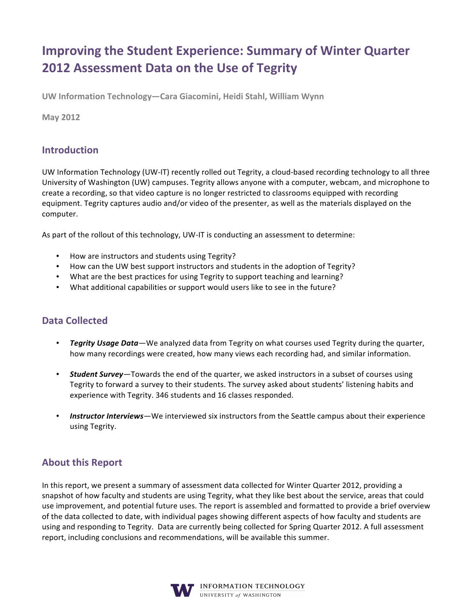# **Improving the Student Experience: Summary of Winter Quarter** 2012 Assessment Data on the Use of Tegrity

UW Information Technology—Cara Giacomini, Heidi Stahl, William Wynn

**May 2012** 

### **Introduction**

UW Information Technology (UW-IT) recently rolled out Tegrity, a cloud-based recording technology to all three University of Washington (UW) campuses. Tegrity allows anyone with a computer, webcam, and microphone to create a recording, so that video capture is no longer restricted to classrooms equipped with recording equipment. Tegrity captures audio and/or video of the presenter, as well as the materials displayed on the computer.

As part of the rollout of this technology, UW-IT is conducting an assessment to determine:

- How are instructors and students using Tegrity?
- How can the UW best support instructors and students in the adoption of Tegrity?
- What are the best practices for using Tegrity to support teaching and learning?
- What additional capabilities or support would users like to see in the future?

### **Data Collected**

- Tegrity Usage Data We analyzed data from Tegrity on what courses used Tegrity during the quarter, how many recordings were created, how many views each recording had, and similar information.
- **Student Survey**—Towards the end of the quarter, we asked instructors in a subset of courses using Tegrity to forward a survey to their students. The survey asked about students' listening habits and experience with Tegrity. 346 students and 16 classes responded.
- **Instructor Interviews**—We interviewed six instructors from the Seattle campus about their experience using Tegrity.

### **About this Report**

In this report, we present a summary of assessment data collected for Winter Quarter 2012, providing a snapshot of how faculty and students are using Tegrity, what they like best about the service, areas that could use improvement, and potential future uses. The report is assembled and formatted to provide a brief overview of the data collected to date, with individual pages showing different aspects of how faculty and students are using and responding to Tegrity. Data are currently being collected for Spring Quarter 2012. A full assessment report, including conclusions and recommendations, will be available this summer.

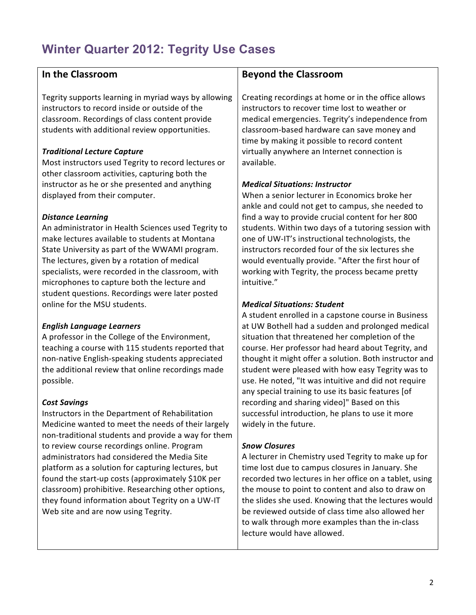# **Winter Quarter 2012: Tegrity Use Cases**

### In the Classroom

Tegrity supports learning in myriad ways by allowing instructors to record inside or outside of the classroom. Recordings of class content provide students with additional review opportunities.

### **Traditional Lecture Capture**

Most instructors used Tegrity to record lectures or other classroom activities, capturing both the instructor as he or she presented and anything displayed from their computer.

#### **Distance Learning**

An administrator in Health Sciences used Tegrity to make lectures available to students at Montana State University as part of the WWAMI program. The lectures, given by a rotation of medical specialists, were recorded in the classroom, with microphones to capture both the lecture and student questions. Recordings were later posted online for the MSU students.

### **English Language Learners**

A professor in the College of the Environment, teaching a course with 115 students reported that non-native English-speaking students appreciated the additional review that online recordings made possible.

### **Cost Savings**

Instructors in the Department of Rehabilitation Medicine wanted to meet the needs of their largely non-traditional students and provide a way for them to review course recordings online. Program administrators had considered the Media Site platform as a solution for capturing lectures, but found the start-up costs (approximately \$10K per classroom) prohibitive. Researching other options, they found information about Tegrity on a UW-IT Web site and are now using Tegrity.

### **Bevond the Classroom**

Creating recordings at home or in the office allows instructors to recover time lost to weather or medical emergencies. Tegrity's independence from classroom-based hardware can save money and time by making it possible to record content virtually anywhere an Internet connection is available.

### **Medical Situations: Instructor**

When a senior lecturer in Economics broke her ankle and could not get to campus, she needed to find a way to provide crucial content for her 800 students. Within two days of a tutoring session with one of UW-IT's instructional technologists, the instructors recorded four of the six lectures she would eventually provide. "After the first hour of working with Tegrity, the process became pretty intuitive."

### **Medical Situations: Student**

A student enrolled in a capstone course in Business at UW Bothell had a sudden and prolonged medical situation that threatened her completion of the course. Her professor had heard about Tegrity, and thought it might offer a solution. Both instructor and student were pleased with how easy Tegrity was to use. He noted, "It was intuitive and did not require any special training to use its basic features [of recording and sharing video]" Based on this successful introduction, he plans to use it more widely in the future.

### **Snow Closures**

A lecturer in Chemistry used Tegrity to make up for time lost due to campus closures in January. She recorded two lectures in her office on a tablet, using the mouse to point to content and also to draw on the slides she used. Knowing that the lectures would be reviewed outside of class time also allowed her to walk through more examples than the in-class lecture would have allowed.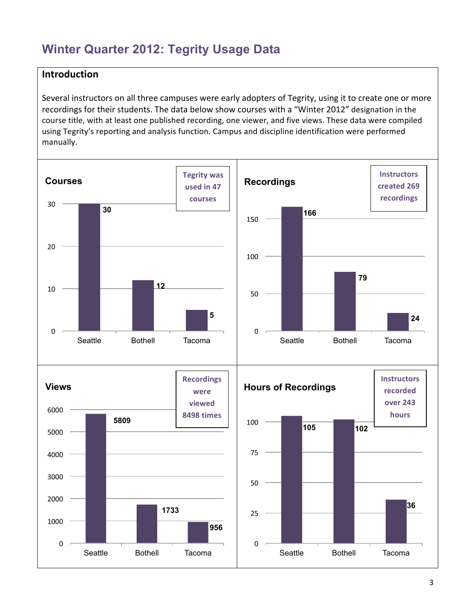## **Winter Quarter 2012: Tegrity Usage Data**

### $Introduction$

Several instructors on all three campuses were early adopters of Tegrity, using it to create one or more recordings for their students. The data below show courses with a "Winter 2012" designation in the course title, with at least one published recording, one viewer, and five views. These data were compiled using Tegrity's reporting and analysis function. Campus and discipline identification were performed manually.

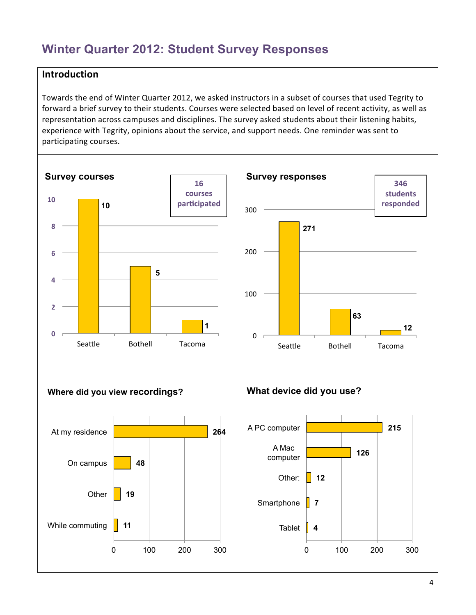## **Winter Quarter 2012: Student Survey Responses**

### **Introduction**

Towards the end of Winter Quarter 2012, we asked instructors in a subset of courses that used Tegrity to forward a brief survey to their students. Courses were selected based on level of recent activity, as well as representation across campuses and disciplines. The survey asked students about their listening habits, experience with Tegrity, opinions about the service, and support needs. One reminder was sent to participating courses.

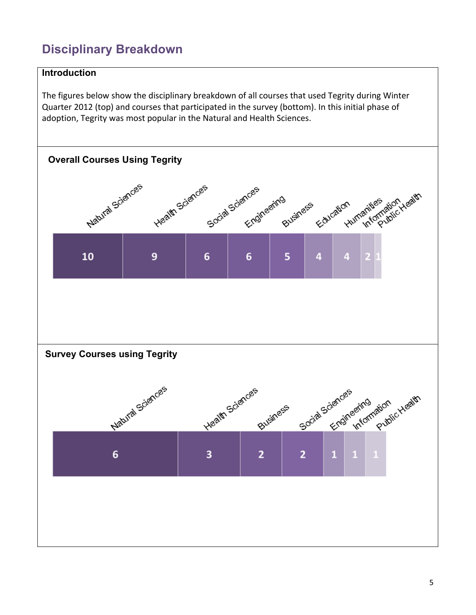# **Disciplinary Breakdown**

### Introduction

The figures below show the disciplinary breakdown of all courses that used Tegrity during Winter Quarter 2012 (top) and courses that participated in the survey (bottom). In this initial phase of adoption, Tegrity was most popular in the Natural and Health Sciences.

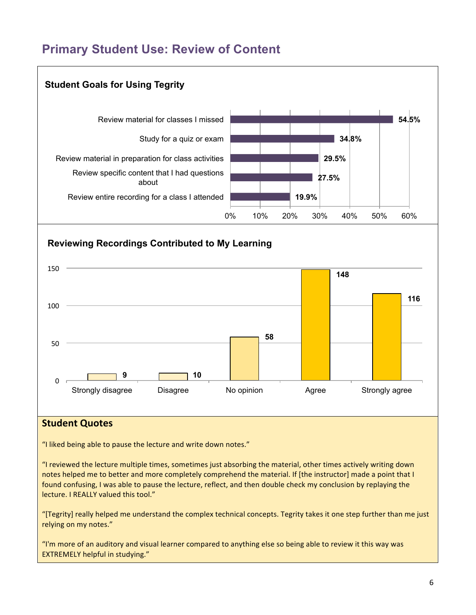### **Primary Student Use: Review of Content**



"I reviewed the lecture multiple times, sometimes just absorbing the material, other times actively writing down notes helped me to better and more completely comprehend the material. If [the instructor] made a point that I found confusing. I was able to pause the lecture, reflect, and then double check my conclusion by replaying the lecture. I REALLY valued this tool."

"[Tegrity] really helped me understand the complex technical concepts. Tegrity takes it one step further than me just relying on my notes."

"I'm more of an auditory and visual learner compared to anything else so being able to review it this way was **EXTREMELY helpful in studying."**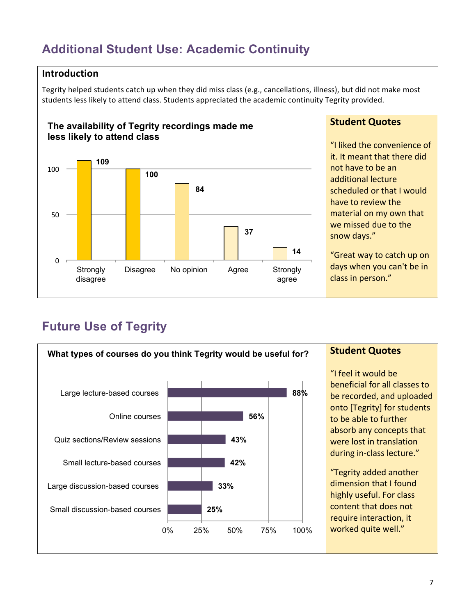## **Additional Student Use: Academic Continuity**

### **Introduction**

Tegrity helped students catch up when they did miss class (e.g., cancellations, illness), but did not make most students less likely to attend class. Students appreciated the academic continuity Tegrity provided.



### **Student Quotes**

"I liked the convenience of it. It meant that there did not have to be an additional lecture scheduled or that I would have to review the material on my own that we missed due to the snow days."

"Great way to catch up on days when you can't be in class in person."

# **Future Use of Tegrity**

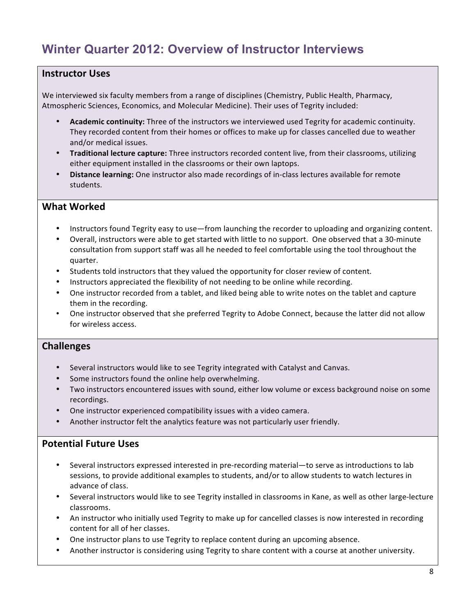## Winter Quarter 2012: Overview of Instructor Interviews

### **Instructor Uses**

We interviewed six faculty members from a range of disciplines (Chemistry, Public Health, Pharmacy, Atmospheric Sciences, Economics, and Molecular Medicine). Their uses of Tegrity included:

- Academic continuity: Three of the instructors we interviewed used Tegrity for academic continuity. They recorded content from their homes or offices to make up for classes cancelled due to weather and/or medical issues.
- Traditional lecture capture: Three instructors recorded content live, from their classrooms, utilizing either equipment installed in the classrooms or their own laptops.
- Distance learning: One instructor also made recordings of in-class lectures available for remote students.

#### **What Worked**

- Instructors found Tegrity easy to use—from launching the recorder to uploading and organizing content.
- Overall, instructors were able to get started with little to no support. One observed that a 30-minute consultation from support staff was all he needed to feel comfortable using the tool throughout the quarter.
- Students told instructors that they valued the opportunity for closer review of content.
- Instructors appreciated the flexibility of not needing to be online while recording.
- One instructor recorded from a tablet, and liked being able to write notes on the tablet and capture them in the recording.
- One instructor observed that she preferred Tegrity to Adobe Connect, because the latter did not allow for wireless access.

### **Challenges**

- Several instructors would like to see Tegrity integrated with Catalyst and Canvas.
- Some instructors found the online help overwhelming.
- Two instructors encountered issues with sound, either low volume or excess background noise on some recordings.
- One instructor experienced compatibility issues with a video camera.
- Another instructor felt the analytics feature was not particularly user friendly.

#### **Potential Future Uses**

- Several instructors expressed interested in pre-recording material-to serve as introductions to lab sessions, to provide additional examples to students, and/or to allow students to watch lectures in advance of class.
- . Several instructors would like to see Tegrity installed in classrooms in Kane, as well as other large-lecture classrooms.
- An instructor who initially used Tegrity to make up for cancelled classes is now interested in recording content for all of her classes.
- One instructor plans to use Tegrity to replace content during an upcoming absence.
- Another instructor is considering using Tegrity to share content with a course at another university.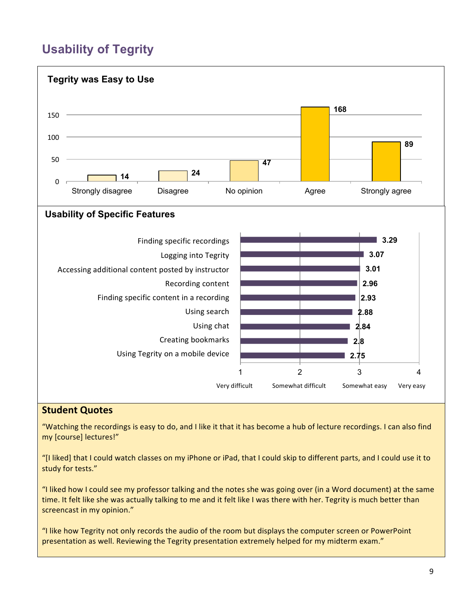# **Usability of Tegrity**



### **Student Quotes**

"Watching the recordings is easy to do, and I like it that it has become a hub of lecture recordings. I can also find my [course] lectures!"

"[I liked] that I could watch classes on my iPhone or iPad, that I could skip to different parts, and I could use it to study for tests."

"I liked how I could see my professor talking and the notes she was going over (in a Word document) at the same time. It felt like she was actually talking to me and it felt like I was there with her. Tegrity is much better than screencast in my opinion."

"I like how Tegrity not only records the audio of the room but displays the computer screen or PowerPoint presentation as well. Reviewing the Tegrity presentation extremely helped for my midterm exam."